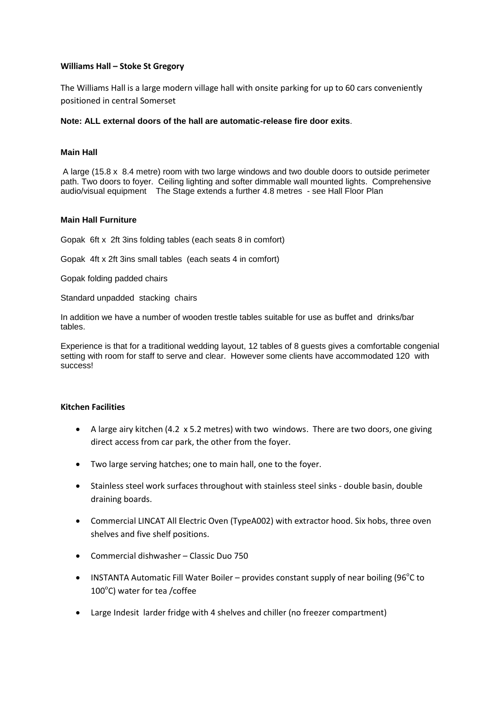## **Williams Hall – Stoke St Gregory**

The Williams Hall is a large modern village hall with onsite parking for up to 60 cars conveniently positioned in central Somerset

## **Note: ALL external doors of the hall are automatic-release fire door exits**.

### **Main Hall**

A large (15.8 x 8.4 metre) room with two large windows and two double doors to outside perimeter path. Two doors to foyer. Ceiling lighting and softer dimmable wall mounted lights. Comprehensive audio/visual equipment The Stage extends a further 4.8 metres - see Hall Floor Plan

## **Main Hall Furniture**

Gopak 6ft x 2ft 3ins folding tables (each seats 8 in comfort)

Gopak 4ft x 2ft 3ins small tables (each seats 4 in comfort)

Gopak folding padded chairs

Standard unpadded stacking chairs

In addition we have a number of wooden trestle tables suitable for use as buffet and drinks/bar tables.

Experience is that for a traditional wedding layout, 12 tables of 8 guests gives a comfortable congenial setting with room for staff to serve and clear. However some clients have accommodated 120 with success!

# **Kitchen Facilities**

- A large airy kitchen (4.2 x 5.2 metres) with two windows. There are two doors, one giving direct access from car park, the other from the foyer.
- Two large serving hatches; one to main hall, one to the foyer.
- Stainless steel work surfaces throughout with stainless steel sinks double basin, double draining boards.
- Commercial LINCAT All Electric Oven (TypeA002) with extractor hood. Six hobs, three oven shelves and five shelf positions.
- Commercial dishwasher Classic Duo 750
- INSTANTA Automatic Fill Water Boiler provides constant supply of near boiling (96 $^{\circ}$ C to 100°C) water for tea /coffee
- Large Indesit larder fridge with 4 shelves and chiller (no freezer compartment)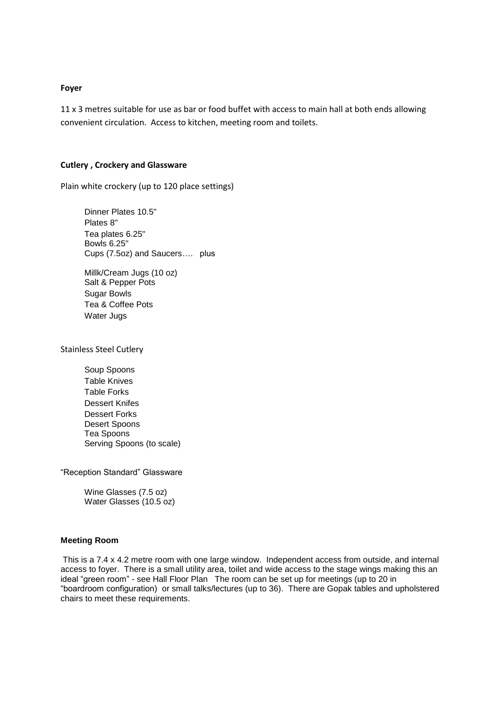### **Foyer**

11 x 3 metres suitable for use as bar or food buffet with access to main hall at both ends allowing convenient circulation. Access to kitchen, meeting room and toilets.

#### **Cutlery , Crockery and Glassware**

Plain white crockery (up to 120 place settings)

Dinner Plates 10.5" Plates 8" Tea plates 6.25" Bowls 6.25" Cups (7.5oz) and Saucers…. plus

Millk/Cream Jugs (10 oz) Salt & Pepper Pots Sugar Bowls Tea & Coffee Pots Water Jugs

Stainless Steel Cutlery

Soup Spoons Table Knives Table Forks Dessert Knifes Dessert Forks Desert Spoons Tea Spoons Serving Spoons (to scale)

"Reception Standard" Glassware

Wine Glasses (7.5 oz) Water Glasses (10.5 oz)

#### **Meeting Room**

This is a 7.4 x 4.2 metre room with one large window. Independent access from outside, and internal access to foyer. There is a small utility area, toilet and wide access to the stage wings making this an ideal "green room" - see Hall Floor Plan The room can be set up for meetings (up to 20 in "boardroom configuration) or small talks/lectures (up to 36). There are Gopak tables and upholstered chairs to meet these requirements.